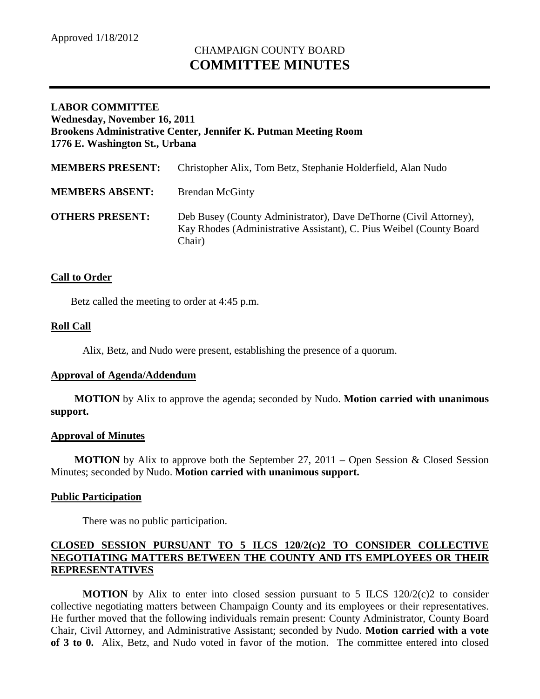# CHAMPAIGN COUNTY BOARD **COMMITTEE MINUTES**

## **LABOR COMMITTEE Wednesday, November 16, 2011 Brookens Administrative Center, Jennifer K. Putman Meeting Room 1776 E. Washington St., Urbana**

| <b>MEMBERS PRESENT:</b> | Christopher Alix, Tom Betz, Stephanie Holderfield, Alan Nudo                                                                                       |
|-------------------------|----------------------------------------------------------------------------------------------------------------------------------------------------|
| <b>MEMBERS ABSENT:</b>  | <b>Brendan McGinty</b>                                                                                                                             |
| <b>OTHERS PRESENT:</b>  | Deb Busey (County Administrator), Dave DeThorne (Civil Attorney),<br>Kay Rhodes (Administrative Assistant), C. Pius Weibel (County Board<br>Chair) |

## **Call to Order**

Betz called the meeting to order at 4:45 p.m.

#### **Roll Call**

Alix, Betz, and Nudo were present, establishing the presence of a quorum.

#### **Approval of Agenda/Addendum**

**MOTION** by Alix to approve the agenda; seconded by Nudo. **Motion carried with unanimous support.**

#### **Approval of Minutes**

**MOTION** by Alix to approve both the September 27, 2011 – Open Session & Closed Session Minutes; seconded by Nudo. **Motion carried with unanimous support.**

#### **Public Participation**

There was no public participation.

## **CLOSED SESSION PURSUANT TO 5 ILCS 120/2(c)2 TO CONSIDER COLLECTIVE NEGOTIATING MATTERS BETWEEN THE COUNTY AND ITS EMPLOYEES OR THEIR REPRESENTATIVES**

**MOTION** by Alix to enter into closed session pursuant to 5 ILCS  $120/2(c)$  to consider collective negotiating matters between Champaign County and its employees or their representatives. He further moved that the following individuals remain present: County Administrator, County Board Chair, Civil Attorney, and Administrative Assistant; seconded by Nudo. **Motion carried with a vote of 3 to 0.** Alix, Betz, and Nudo voted in favor of the motion. The committee entered into closed